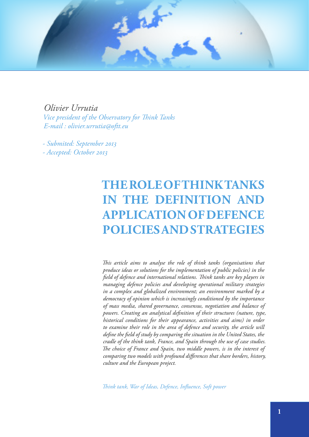

*Olivier Urrutia Vice president of the Observatory for Think Tanks E-mail : [olivier.urrutia@oftt.eu](mailto:olivier.urrutia@oftt.eu)*

*- Submited: September 2013 - Accepted: October 2013*

# **THE ROLE OF THINK TANKS IN THE DEFINITION AND APPLICATION OF DEFENCE POLICIES AND STRATEGIES**

*This article aims to analyse the role of think tanks (organisations that produce ideas or solutions for the implementation of public policies) in the field of defence and international relations. Think tanks are key players in managing defence policies and developing operational military strategies in a complex and globalized environment; an environment marked by a democracy of opinion which is increasingly conditioned by the importance of mass media, shared governance, consensus, negotiation and balance of powers. Creating an analytical definition of their structures (nature, type, historical conditions for their appearance, activities and aims) in order to examine their role in the area of defence and security, the article will define the field of study by comparing the situation in the United States, the cradle of the think tank, France, and Spain through the use of case studies. The choice of France and Spain, two middle powers, is in the interest of comparing two models with profound differences that share borders, history, culture and the European project.*

*Think tank, War of Ideas, Defence, Influence, Soft power*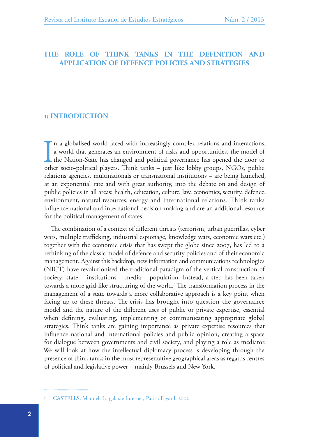## **THE ROLE OF THINK TANKS IN THE DEFINITION AND APPLICATION OF DEFENCE POLICIES AND STRATEGIES**

## **1: INTRODUCTION**

I n a globalised world faced with increasingly complex relations and interactions, a world that generates an environment of risks and opportunities, the model of the Nation-State has changed and political governance has opened the door to other socio-political players. Think tanks – just like lobby groups, NGOs, public relations agencies, multinationals or transnational institutions – are being launched, at an exponential rate and with great authority, into the debate on and design of public policies in all areas: health, education, culture, law, economics, security, defence, environment, natural resources, energy and international relations. Think tanks influence national and international decision-making and are an additional resource for the political management of states.

The combination of a context of different threats (terrorism, urban guerrillas, cyber wars, multiple trafficking, industrial espionage, knowledge wars, economic wars etc.) together with the economic crisis that has swept the globe since 2007, has led to a rethinking of the classic model of defence and security policies and of their economic management. Against this backdrop, new information and communications technologies (NICT) have revolutionised the traditional paradigm of the vertical construction of society: state – institutions – media – population. Instead, a step has been taken towards a more grid-like structuring of the world.<sup>1</sup> The transformation process in the management of a state towards a more collaborative approach is a key point when facing up to these threats. The crisis has brought into question the governance model and the nature of the different uses of public or private expertise, essential when defining, evaluating, implementing or communicating appropriate global strategies. Think tanks are gaining importance as private expertise resources that influence national and international policies and public opinion, creating a space for dialogue between governments and civil society, and playing a role as mediator. We will look at how the intellectual diplomacy process is developing through the presence of think tanks in the most representative geographical areas as regards centres of political and legislative power – mainly Brussels and New York.

<sup>1</sup> CASTELLS, Manuel. La galaxie Internet, Paris : Fayard, 2002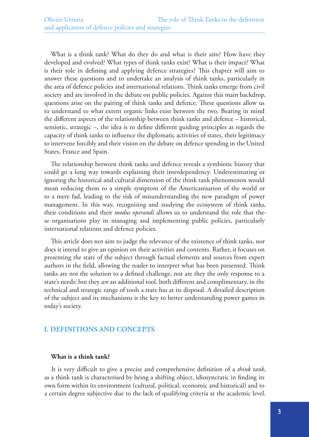What is a think tank? What do they do and what is their aim? How have they developed and evolved? What types of think tanks exist? What is their impact? What is their role in defining and applying defence strategies? This chapter will aim to answer these questions and to undertake an analysis of think tanks, particularly in the area of defence policies and international relations. Think tanks emerge from civil society and are involved in the debate on public policies. Against this main backdrop, questions arise on the pairing of think tanks and defence. These questions allow us to understand to what extent organic links exist between the two. Bearing in mind the different aspects of the relationship between think tanks and defence – historical, semiotic, strategic –, the idea is to define different guiding principles as regards the capacity of think tanks to influence the diplomatic activities of states, their legitimacy to intervene forcibly and their vision on the debate on defence spending in the United States, France and Spain.

The relationship between think tanks and defence reveals a symbiotic history that could go a long way towards explaining their interdependency. Underestimating or ignoring the historical and cultural dimension of the think tank phenomenon would mean reducing them to a simple symptom of the Americanisation of the world or to a mere fad, leading to the risk of misunderstanding the new paradigm of power management. In this way, recognising and studying the ecosystem of think tanks, their conditions and their *modus operandi* allows us to understand the role that these organisations play in managing and implementing public policies, particularly international relations and defence policies.

This article does not aim to judge the relevance of the existence of think tanks, nor does it intend to give an opinion on their activities and contents. Rather, it focuses on presenting the state of the subject through factual elements and sources from expert authors in the field, allowing the reader to interpret what has been presented. Think tanks are not the solution to a defined challenge, nor are they the only response to a state's needs; but they *are* an additional tool, both different and complimentary, in the technical and strategic range of tools a state has at its disposal. A detailed description of the subject and its mechanisms is the key to better understanding power games in today's society.

# **I. DEFINITIONS AND CONCEPTS**

#### **What is a think tank?**

It is very difficult to give a precise and comprehensive definition of a *think tank*, as a think tank is characterised by being a shifting object, idiosyncratic in finding its own form within its environment (cultural, political, economic and historical) and to a certain degree subjective due to the lack of qualifying criteria at the academic level.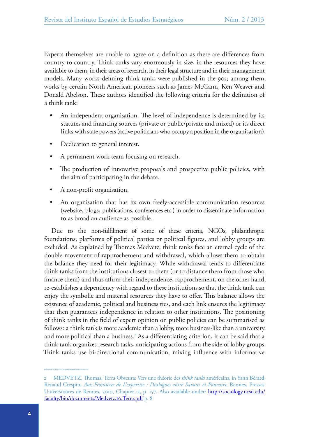Experts themselves are unable to agree on a definition as there are differences from country to country. Think tanks vary enormously in size, in the resources they have available to them, in their areas of research, in their legal structure and in their management models. Many works defining think tanks were published in the 90s; among them, works by certain North American pioneers such as James McGann, Ken Weaver and Donald Abelson. These authors identified the following criteria for the definition of a think tank:

- An independent organisation. The level of independence is determined by its statutes and financing sources (private or public/private and mixed) or its direct links with state powers (active politicians who occupy a position in the organisation).
- Dedication to general interest.
- A permanent work team focusing on research.
- The production of innovative proposals and prospective public policies, with the aim of participating in the debate.
- A non-profit organisation.
- An organisation that has its own freely-accessible communication resources (website, blogs, publications, conferences etc.) in order to disseminate information to as broad an audience as possible.

Due to the non-fulfilment of some of these criteria, NGOs, philanthropic foundations, platforms of political parties or political figures, and lobby groups are excluded. As explained by Thomas Medvetz, think tanks face an eternal cycle of the double movement of rapprochement and withdrawal, which allows them to obtain the balance they need for their legitimacy. While withdrawal tends to differentiate think tanks from the institutions closest to them (or to distance them from those who finance them) and thus affirm their independence, rapprochement, on the other hand, re-establishes a dependency with regard to these institutions so that the think tank can enjoy the symbolic and material resources they have to offer. This balance allows the existence of academic, political and business ties, and each link ensures the legitimacy that then guarantees independence in relation to other institutions. The positioning of think tanks in the field of expert opinion on public policies can be summarised as follows: a think tank is more academic than a lobby, more business-like than a university, and more political than a business.<sup>2</sup> As a differentiating criterion, it can be said that a think tank organizes research tasks, anticipating actions from the side of lobby groups. Think tanks use bi-directional communication, mixing influence with informative

<sup>2</sup> MEDVETZ, Thomas, Terra Obscura: Vers une théorie des *think tanks* américains, in Yann Bérard, Renaud Crespin, *Aux Frontières de L'expertise : Dialogues entre Savoirs et Pouvoirs*, Rennes, Presses Universitaires de Rennes, 2010, Chapter 11, p. 157. Also available under: [http://sociology.ucsd.edu/](http://sociology.ucsd.edu/faculty/bio/documents/Medvetz.10.Terra.pdf) [faculty/bio/documents/Medvetz.10.Terra.pdf](http://sociology.ucsd.edu/faculty/bio/documents/Medvetz.10.Terra.pdf) p. 8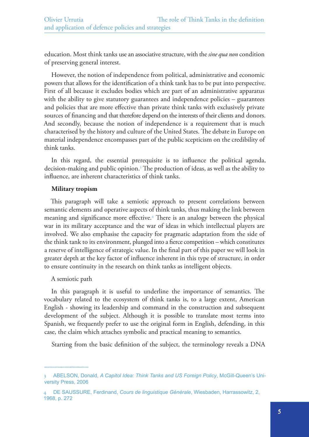education. Most think tanks use an associative structure, with the *sine qua non* condition of preserving general interest.

However, the notion of independence from political, administrative and economic powers that allows for the identification of a think tank has to be put into perspective. First of all because it excludes bodies which are part of an administrative apparatus with the ability to give statutory guarantees and independence policies – guarantees and policies that are more effective than private think tanks with exclusively private sources of financing and that therefore depend on the interests of their clients and donors. And secondly, because the notion of independence is a requirement that is much characterised by the history and culture of the United States. The debate in Europe on material independence encompasses part of the public scepticism on the credibility of think tanks.

In this regard, the essential prerequisite is to influence the political agenda, decision-making and public opinion.3 The production of ideas, as well as the ability to influence, are inherent characteristics of think tanks.

## **Military tropism**

This paragraph will take a semiotic approach to present correlations between semantic elements and operative aspects of think tanks, thus making the link between meaning and significance more effective.4 There is an analogy between the physical war in its military acceptance and the war of ideas in which intellectual players are involved. We also emphasise the capacity for pragmatic adaptation from the side of the think tank to its environment, plunged into a fierce competition – which constitutes a reserve of intelligence of strategic value. In the final part of this paper we will look in greater depth at the key factor of influence inherent in this type of structure, in order to ensure continuity in the research on think tanks as intelligent objects.

#### A semiotic path

In this paragraph it is useful to underline the importance of semantics. The vocabulary related to the ecosystem of think tanks is, to a large extent, American English - showing its leadership and command in the construction and subsequent development of the subject. Although it is possible to translate most terms into Spanish, we frequently prefer to use the original form in English, defending, in this case, the claim which attaches symbolic and practical meaning to semantics.

Starting from the basic definition of the subject, the terminology reveals a DNA

<sup>3</sup> ABELSON, Donald, *A Capitol Idea: Think Tanks and US Foreign Policy*, McGill-Queen's University Press, 2006

<sup>4</sup> DE SAUSSURE, Ferdinand, *Cours de linguistique Générale*, Wiesbaden, Harrassowitz, 2, 1968, p. 272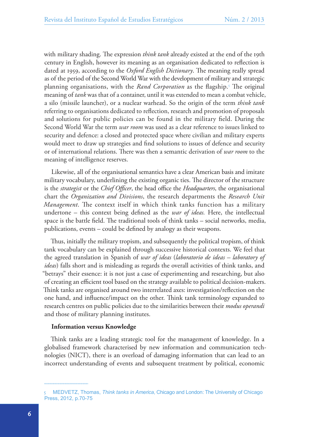with military shading. The expression *think tank* already existed at the end of the 19th century in English, however its meaning as an organisation dedicated to reflection is dated at 1959, according to the *Oxford English Dictionary*. The meaning really spread as of the period of the Second World War with the development of military and strategic planning organisations, with the *Rand Corporation* as the flagship.5 The original meaning of *tank* was that of a container, until it was extended to mean a combat vehicle, a silo (missile launcher), or a nuclear warhead. So the origin of the term *think tank* referring to organisations dedicated to reflection, research and promotion of proposals and solutions for public policies can be found in the military field. During the Second World War the term *war room* was used as a clear reference to issues linked to security and defence: a closed and protected space where civilian and military experts would meet to draw up strategies and find solutions to issues of defence and security or of international relations. There was then a semantic derivation of *war room* to the meaning of intelligence reserves.

Likewise, all of the organisational semantics have a clear American basis and imitate military vocabulary, underlining the existing organic ties. The director of the structure is the *strategist* or the *Chief Officer*, the head office the *Headquarters*, the organisational chart the *Organization and Divisions*, the research departments the *Research Unit Management*. The context itself in which think tanks function has a military undertone – this context being defined as the *war of ideas.* Here, the intellectual space is the battle field. The traditional tools of think tanks – social networks, media, publications, events – could be defined by analogy as their weapons.

Thus, initially the military tropism, and subsequently the political tropism, of think tank vocabulary can be explained through successive historical contexts. We feel that the agreed translation in Spanish of *war of ideas* (*laboratorio de ideas – laboratory of ideas*) falls short and is misleading as regards the overall activities of think tanks, and "betrays" their essence: it is not just a case of experimenting and researching, but also of creating an efficient tool based on the strategy available to political decision-makers. Think tanks are organised around two interrelated axes: investigation/reflection on the one hand, and influence/impact on the other. Think tank terminology expanded to research centres on public policies due to the similarities between their *modus operandi*  and those of military planning institutes.

#### **Information versus Knowledge**

Think tanks are a leading strategic tool for the management of knowledge. In a globalised framework characterised by new information and communication technologies (NICT), there is an overload of damaging information that can lead to an incorrect understanding of events and subsequent treatment by political, economic

<sup>5</sup> MEDVETZ, Thomas, *Think tanks in America*, Chicago and London: The University of Chicago Press, 2012, p.70-75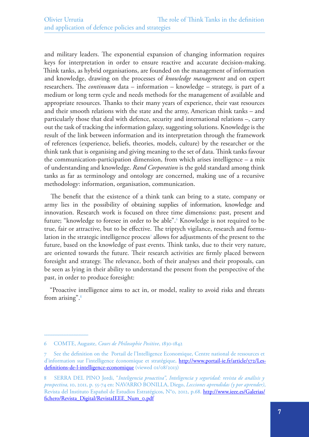and military leaders. The exponential expansion of changing information requires keys for interpretation in order to ensure reactive and accurate decision-making. Think tanks, as hybrid organisations, are founded on the management of information and knowledge, drawing on the processes of *knowledge management* and on expert researchers. The *continuum* data – information – knowledge – strategy, is part of a medium or long term cycle and needs methods for the management of available and appropriate resources. Thanks to their many years of experience, their vast resources and their smooth relations with the state and the army, American think tanks – and particularly those that deal with defence, security and international relations –, carry out the task of tracking the information galaxy, suggesting solutions. Knowledge is the result of the link between information and its interpretation through the framework of references (experience, beliefs, theories, models, culture) by the researcher or the think tank that is organising and giving meaning to the set of data. Think tanks favour the communication-participation dimension, from which arises intelligence – a mix of understanding and knowledge. *Rand Corporation* is the gold standard among think tanks as far as terminology and ontology are concerned, making use of a recursive methodology: information, organisation, communication.

The benefit that the existence of a think tank can bring to a state, company or army lies in the possibility of obtaining supplies of information, knowledge and innovation. Research work is focused on three time dimensions: past, present and future; "knowledge to foresee in order to be able".<sup>6</sup> Knowledge is not required to be true, fair or attractive, but to be effective. The triptych vigilance, research and formulation in the strategic intelligence process<sup>7</sup> allows for adjustments of the present to the future, based on the knowledge of past events. Think tanks, due to their very nature, are oriented towards the future. Their research activities are firmly placed between foresight and strategy. The relevance, both of their analyses and their proposals, can be seen as lying in their ability to understand the present from the perspective of the past, in order to produce foresight:

"Proactive intelligence aims to act in, or model, reality to avoid risks and threats from arising".<sup>8</sup>

<sup>6</sup> COMTE, Auguste, *Cours de Philosophie Positive*, 1830-1842

<sup>7</sup> See the definition on the Portail de l'Intelligence Economique, Centre national de ressources et d'information sur l'intelligence économique et stratégique, [http://www.portail-ie.fr/article/572/Les](http://www.portail-ie.fr/article/572/Les-definitions-de-l-intelligence-economique)[definitions-de-l-intelligence-economique](http://www.portail-ie.fr/article/572/Les-definitions-de-l-intelligence-economique) (viewed 01/08/2013)

<sup>8</sup> SERRA DEL PINO Jordi, "*Inteligencia proactiva", Inteligencia y seguridad: revista de análisis y prospectiva,* 10, 2011, p. 55-74 en: NAVARRO BONILLA, Diego, *Lecciones aprendidas (y por aprender)*, Revista del Instituto Español de Estudios Estratégicos, N°0, 2012, p.68. [http://www.ieee.es/Galerias/](http://www.ieee.es/Galerias/fichero/Revista_Digital/RevistaIEEE_Num_0.pdf) [fichero/Revista\\_Digital/RevistaIEEE\\_Num\\_0.pdf](http://www.ieee.es/Galerias/fichero/Revista_Digital/RevistaIEEE_Num_0.pdf)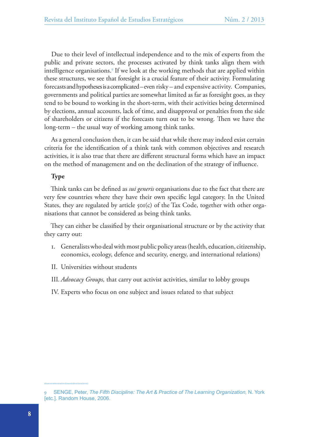Due to their level of intellectual independence and to the mix of experts from the public and private sectors, the processes activated by think tanks align them with intelligence organisations.9 If we look at the working methods that are applied within these structures, we see that foresight is a crucial feature of their activity. Formulating forecasts and hypotheses is a complicated – even risky – and expensive activity. Companies, governments and political parties are somewhat limited as far as foresight goes, as they tend to be bound to working in the short-term, with their activities being determined by elections, annual accounts, lack of time, and disapproval or penalties from the side of shareholders or citizens if the forecasts turn out to be wrong. Then we have the long-term – the usual way of working among think tanks.

As a general conclusion then, it can be said that while there may indeed exist certain criteria for the identification of a think tank with common objectives and research activities, it is also true that there are different structural forms which have an impact on the method of management and on the declination of the strategy of influence.

## **Type**

Think tanks can be defined as *sui generis* organisations due to the fact that there are very few countries where they have their own specific legal category. In the United States, they are regulated by article  $\delta$   $\sigma$ (c) of the Tax Code, together with other organisations that cannot be considered as being think tanks.

They can either be classified by their organisational structure or by the activity that they carry out:

- 1. Generalists who deal with most public policy areas (health, education, citizenship, economics, ecology, defence and security, energy, and international relations)
- II. Universities without students
- III*.Advocacy Groups,* that carry out activist activities, similar to lobby groups
- IV. Experts who focus on one subject and issues related to that subject

<sup>9</sup> SENGE, Peter, *The Fifth Discipline: The Art & Practice of The Learning Organization,* N. York [etc.]. Random House, 2006.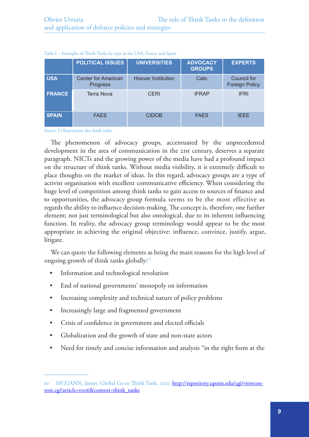|               | <b>POLITICAL ISSUES</b>                | <b>UNIVERSITIES</b>       | <b>ADVOCACY</b><br><b>GROUPS</b> | <b>EXPERTS</b>                              |
|---------------|----------------------------------------|---------------------------|----------------------------------|---------------------------------------------|
| <b>USA</b>    | <b>Center for American</b><br>Progress | <b>Hoover Institution</b> | Cato                             | <b>Council for</b><br><b>Foreign Policy</b> |
| <b>FRANCE</b> | <b>Terra Nova</b>                      | <b>CERI</b>               | <b>IFRAP</b>                     | <b>IFRI</b>                                 |
| <b>SPAIN</b>  | <b>FAES</b>                            | <b>CIDOB</b>              | <b>FAES</b>                      | <b>IFFE</b>                                 |

Table I. - Examples of Think Tanks by type in the USA, France and Spain

*Source*: L'Observatoire des think tanks

The phenomenon of advocacy groups, accentuated by the unprecedented development in the area of communication in the 21st century, deserves a separate paragraph. NICTs and the growing power of the media have had a profound impact on the structure of think tanks. Without media visibility, it is extremely difficult to place thoughts on the market of ideas. In this regard, advocacy groups are a type of activist organisation with excellent communicative efficiency. When considering the huge level of competition among think tanks to gain access to sources of finance and to opportunities, the advocacy group formula seems to be the most effective as regards the ability to influence decision-making. The concept is, therefore, one further element; not just terminological but also ontological, due to its inherent influencing function. In reality, the advocacy group terminology would appear to be the most appropriate in achieving the original objective: influence, convince, justify, argue, litigate.

We can quote the following elements as being the main reasons for the high level of ongoing growth of think tanks globally:<sup>10</sup>

- • Information and technological revolution
- End of national governments' monopoly on information
- Increasing complexity and technical nature of policy problems
- Increasingly large and fragmented government
- Crisis of confidence in government and elected officials
- Globalization and the growth of state and non-state actors
- Need for timely and concise information and analysis "in the right form at the

<sup>10</sup> MCGANN, James, Global Go to Think Tank, 2012: [http://repository.upenn.edu/cgi/viewcon](http://repository.upenn.edu/cgi/viewcontent.cgi?article=1006&context=think_tanks)[tent.cgi?article=1006&context=think\\_tanks](http://repository.upenn.edu/cgi/viewcontent.cgi?article=1006&context=think_tanks)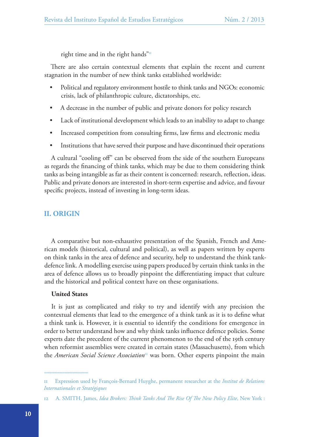right time and in the right hands" $\frac{1}{11}$ 

There are also certain contextual elements that explain the recent and current stagnation in the number of new think tanks established worldwide:

- Political and regulatory environment hostile to think tanks and NGOs: economic crisis, lack of philanthropic culture, dictatorships, etc.
- A decrease in the number of public and private donors for policy research
- Lack of institutional development which leads to an inability to adapt to change
- Increased competition from consulting firms, law firms and electronic media
- Institutions that have served their purpose and have discontinued their operations

A cultural "cooling off" can be observed from the side of the southern Europeans as regards the financing of think tanks, which may be due to them considering think tanks as being intangible as far as their content is concerned: research, reflection, ideas. Public and private donors are interested in short-term expertise and advice, and favour specific projects, instead of investing in long-term ideas.

## **II. ORIGIN**

A comparative but non-exhaustive presentation of the Spanish, French and American models (historical, cultural and political), as well as papers written by experts on think tanks in the area of defence and security, help to understand the think tankdefence link. A modelling exercise using papers produced by certain think tanks in the area of defence allows us to broadly pinpoint the differentiating impact that culture and the historical and political context have on these organisations.

#### **United States**

It is just as complicated and risky to try and identify with any precision the contextual elements that lead to the emergence of a think tank as it is to define what a think tank is. However, it is essential to identify the conditions for emergence in order to better understand how and why think tanks influence defence policies. Some experts date the precedent of the current phenomenon to the end of the 19th century when reformist assemblies were created in certain states (Massachusetts), from which the *American Social Science Association*<sup>12</sup> was born. Other experts pinpoint the main

<sup>11</sup> Expression used by François-Bernard Huyghe, permanent researcher at the *Institut de Relations Internationales et Stratégiques*

<sup>12</sup> A. SMITH, James, *Idea Brokers: Think Tanks And The Rise Of The New Policy Elite*, New York :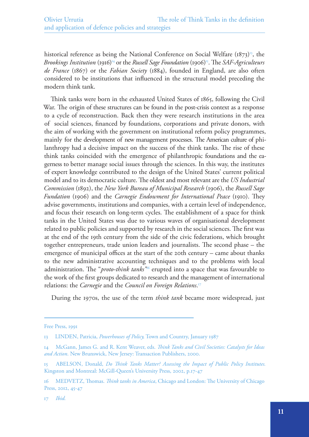historical reference as being the National Conference on Social Welfare  $(1873)^{13}$ , the *Brookings Institution* (1916)<sup>14</sup> or the *Russell Sage Foundation* (1906)<sup>15</sup>. The *SAF-Agriculteurs de France* (1867) or the *Fabian Society* (1884), founded in England, are also often considered to be institutions that influenced in the structural model preceding the modern think tank.

Think tanks were born in the exhausted United States of 1865, following the Civil War. The origin of these structures can be found in the post-crisis context as a response to a cycle of reconstruction. Back then they were research institutions in the area of social sciences, financed by foundations, corporations and private donors, with the aim of working with the government on institutional reform policy programmes, mainly for the development of new management processes. The American culture of philanthropy had a decisive impact on the success of the think tanks. The rise of these think tanks coincided with the emergence of philanthropic foundations and the eagerness to better manage social issues through the sciences. In this way, the institutes of expert knowledge contributed to the design of the United States' current political model and to its democratic culture. The oldest and most relevant are the *US Industrial Commission* (1892), the *New York Bureau of Municipal Research* (1906), the *Russell Sage Fundation* (1906) and the *Carnegie Endowment for International Peace* (1910). They advise governments, institutions and companies, with a certain level of independence, and focus their research on long-term cycles. The establishment of a space for think tanks in the United States was due to various waves of organisational development related to public policies and supported by research in the social sciences. The first was at the end of the 19th century from the side of the civic federations, which brought together entrepreneurs, trade union leaders and journalists. The second phase – the emergence of municipal offices at the start of the 20th century – came about thanks to the new administrative accounting techniques and to the problems with local administration. The "*proto-think tanks"*16 erupted into a space that was favourable to the work of the first groups dedicated to research and the management of international relations: the *Carnegie* and the *Council on Foreign Relations*. 17

During the 1970s, the use of the term *think tank* became more widespread, just

Free Press, 1991

<sup>13</sup> LINDEN, Patricia, *Powerhouses of Policy,* Town and Country, January 1987

<sup>14</sup> McGann, James G. and R. Kent Weaver, eds. *Think Tanks and Civil Societies: Catalysts for Ideas and Action*. New Brunswick, New Jersey: Transaction Publishers, 2000.

<sup>15</sup> ABELSON, Donald, *Do Think Tanks Matter? Assessing the Impact of Public Policy Institutes.*  Kingston and Montreal: McGill-Queen's University Press, 2002, p.17-47

<sup>16</sup> MEDVETZ, Thomas. *Think tanks in America*, Chicago and London: The University of Chicago Press, 2012, 45-47

<sup>17</sup> *Ibid.*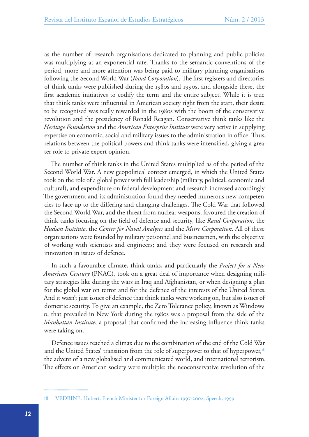as the number of research organisations dedicated to planning and public policies was multiplying at an exponential rate. Thanks to the semantic conventions of the period, more and more attention was being paid to military planning organisations following the Second World War (*Rand Corporation*). The first registers and directories of think tanks were published during the 1980s and 1990s, and alongside these, the first academic initiatives to codify the term and the entire subject. While it is true that think tanks were influential in American society right from the start, their desire to be recognised was really rewarded in the 1980s with the boom of the conservative revolution and the presidency of Ronald Reagan. Conservative think tanks like the *Heritage Foundation* and the *American Enterprise Institute* were very active in supplying expertise on economic, social and military issues to the administration in office. Thus, relations between the political powers and think tanks were intensified, giving a greater role to private expert opinion.

The number of think tanks in the United States multiplied as of the period of the Second World War. A new geopolitical context emerged, in which the United States took on the role of a global power with full leadership (military, political, economic and cultural), and expenditure on federal development and research increased accordingly. The government and its administration found they needed numerous new competencies to face up to the differing and changing challenges. The Cold War that followed the Second World War, and the threat from nuclear weapons, favoured the creation of think tanks focusing on the field of defence and security, like *Rand Corporation*, the *Hudson Institute*, the *Center for Naval Analyses* and the *Mitre Corporation*. All of these organisations were founded by military personnel and businessmen, with the objective of working with scientists and engineers; and they were focused on research and innovation in issues of defence.

In such a favourable climate, think tanks, and particularly the *Project for a New American Century* (PNAC), took on a great deal of importance when designing military strategies like during the wars in Iraq and Afghanistan, or when designing a plan for the global war on terror and for the defence of the interests of the United States. And it wasn't just issues of defence that think tanks were working on, but also issues of domestic security. To give an example, the Zero Tolerance policy, known as Windows 0, that prevailed in New York during the 1980s was a proposal from the side of the *Manhattan Institute*; a proposal that confirmed the increasing influence think tanks were taking on.

Defence issues reached a climax due to the combination of the end of the Cold War and the United States' transition from the role of superpower to that of hyperpower, $18$ the advent of a new globalised and communicated world, and international terrorism. The effects on American society were multiple: the neoconservative revolution of the

<sup>18</sup> VEDRINE, Hubert, French Minister for Foreign Affairs 1997-2002, Speech, 1999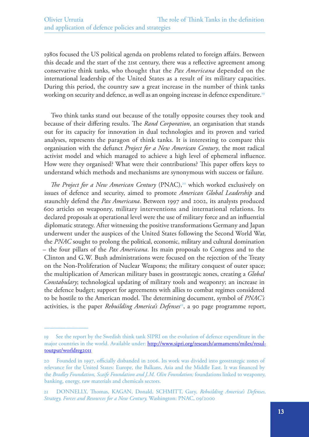1980s focused the US political agenda on problems related to foreign affairs. Between this decade and the start of the 21st century, there was a reflective agreement among conservative think tanks, who thought that the *Pax Americana* depended on the international leadership of the United States as a result of its military capacities. During this period, the country saw a great increase in the number of think tanks working on security and defence, as well as an ongoing increase in defence expenditure.<sup>19</sup>

Two think tanks stand out because of the totally opposite courses they took and because of their differing results. The *Rand Corporation*, an organisation that stands out for its capacity for innovation in dual technologies and its proven and varied analyses, represents the paragon of think tanks. It is interesting to compare this organisation with the defunct *Project for a New American Century*, the most radical activist model and which managed to achieve a high level of ephemeral influence. How were they organised? What were their contributions? This paper offers keys to understand which methods and mechanisms are synonymous with success or failure.

*The Project for a New American Century* (PNAC),<sup>20</sup> which worked exclusively on issues of defence and security, aimed to promote *American Global Leadership* and staunchly defend the *Pax Americana*. Between 1997 and 2002, its analysts produced 600 articles on weaponry, military interventions and international relations. Its declared proposals at operational level were the use of military force and an influential diplomatic strategy. After witnessing the positive transformations Germany and Japan underwent under the auspices of the United States following the Second World War, the *PNAC* sought to prolong the political, economic, military and cultural domination – the four pillars of the *Pax Americana*. Its main proposals to Congress and to the Clinton and G.W. Bush administrations were focused on the rejection of the Treaty on the Non-Proliferation of Nuclear Weapons; the military conquest of outer space; the multiplication of American military bases in geostrategic zones, creating a *Global Constabulary*; technological updating of military tools and weaponry; an increase in the defence budget; support for agreements with allies to combat regimes considered to be hostile to the American model. The determining document, symbol of *PNAC's*  activities, is the paper *Rebuilding America's Defenses*<sup>21</sup>, a 90 page programme report,

<sup>19</sup> See the report by the Swedish think tank SIPRI on the evolution of defence expenditure in the major countries in the world. Available under: [http://www.sipri.org/research/armaments/milex/resul](http://www.sipri.org/research/armaments/milex/resultoutput/worldreg2011)[toutput/worldreg2011](http://www.sipri.org/research/armaments/milex/resultoutput/worldreg2011)

<sup>20</sup> Founded in 1997, officially disbanded in 2006. Its work was divided into geostrategic zones of relevance for the United States: Europe, the Balkans, Asia and the Middle East. It was financed by the *Bradley Foundation, Scaife Foundation and J.M. Olin Foundation;* foundations linked to weaponry, banking, energy, raw materials and chemicals sectors.

<sup>21</sup> DONNELLY, Thomas, KAGAN, Donald, SCHMITT, Gary, *Rebuilding America's Defenses, Strategy, Forces and Resources for a New Century,* Washington: PNAC, 09/2000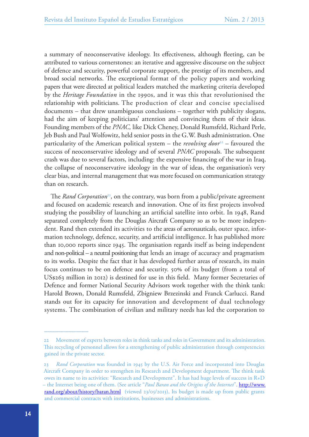a summary of neoconservative ideology. Its effectiveness, although fleeting, can be attributed to various cornerstones: an iterative and aggressive discourse on the subject of defence and security, powerful corporate support, the prestige of its members, and broad social networks. The exceptional format of the policy papers and working papers that were directed at political leaders matched the marketing criteria developed by the *Heritage Foundation* in the 1990s, and it was this that revolutionised the relationship with politicians. The production of clear and concise specialised documents – that drew unambiguous conclusions – together with publicity slogans, had the aim of keeping politicians' attention and convincing them of their ideas. Founding members of the *PNAC,* like Dick Cheney, Donald Rumsfeld, Richard Perle, Jeb Bush and Paul Wolfowitz, held senior posts in the G.W. Bush administration. One particularity of the American political system – the *revolving door*<sup>22</sup> – favoured the success of neoconservative ideology and of several *PNAC* proposals. The subsequent crash was due to several factors, including: the expensive financing of the war in Iraq, the collapse of neoconservative ideology in the war of ideas, the organisation's very clear bias, and internal management that was more focused on communication strategy than on research.

The *Rand Corporation*<sup>23</sup>, on the contrary, was born from a public/private agreement and focused on academic research and innovation. One of its first projects involved studying the possibility of launching an artificial satellite into orbit. In 1948, Rand separated completely from the Douglas Aircraft Company so as to be more independent. Rand then extended its activities to the areas of aeronauticals, outer space, information technology, defence, security, and artificial intelligence. It has published more than 10,000 reports since 1945. The organisation regards itself as being independent and non-political – a neutral positioning that lends an image of accuracy and pragmatism to its works. Despite the fact that it has developed further areas of research, its main focus continues to be on defence and security. 50% of its budget (from a total of US\$263 million in 2012) is destined for use in this field. Many former Secretaries of Defence and former National Security Advisors work together with the think tank: Harold Brown, Donald Rumsfeld, Zbigniew Brzezinski and Franck Carlucci. Rand stands out for its capacity for innovation and development of dual technology systems. The combination of civilian and military needs has led the corporation to

<sup>22</sup> Movement of experts between roles in think tanks and roles in Government and its administration. This recycling of personnel allows for a strengthening of public administration through competencies gained in the private sector.

<sup>23</sup> *Rand Corporation* was founded in 1945 by the U.S. Air Force and incorporated into Douglas Aircraft Company in order to strengthen its Research and Development department. The think tank owes its name to its activities: "Research and Development". It has had huge levels of success in R+D – the Internet being one of them. (See article "*Paul Baran and the Origins of the Internet*", [http://www.](http://www.rand.org/about/history/baran.html) [rand.org/about/history/baran.html](http://www.rand.org/about/history/baran.html) (viewed 23/05/2013), Its budget is made up from public grants and commercial contracts with institutions, businesses and administrations.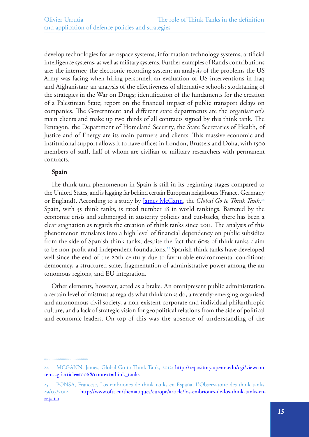develop technologies for aerospace systems, information technology systems, artificial intelligence systems, as well as military systems. Further examples of Rand's contributions are: the internet; the electronic recording system; an analysis of the problems the US Army was facing when hiring personnel; an evaluation of US interventions in Iraq and Afghanistan; an analysis of the effectiveness of alternative schools; stocktaking of the strategies in the War on Drugs; identification of the fundaments for the creation of a Palestinian State; report on the financial impact of public transport delays on companies. The Government and different state departments are the organisation's main clients and make up two thirds of all contracts signed by this think tank. The Pentagon, the Department of Homeland Security, the State Secretaries of Health, of Justice and of Energy are its main partners and clients. This massive economic and institutional support allows it to have offices in London, Brussels and Doha, with 1500 members of staff, half of whom are civilian or military researchers with permanent contracts.

## **Spain**

The think tank phenomenon in Spain is still in its beginning stages compared to the United States, and is lagging far behind certain European neighbours (France, Germany or England). According to a study by <u>[James McGann](http://www.sas.upenn.edu/irp/james-mcgann-phd)</u>, the *Global Go to Think Tank*,<sup>24</sup> Spain, with 55 think tanks, is rated number 18 in world rankings. Battered by the economic crisis and submerged in austerity policies and cut-backs, there has been a clear stagnation as regards the creation of think tanks since 2011. The analysis of this phenomenon translates into a high level of financial dependency on public subsidies from the side of Spanish think tanks, despite the fact that 60% of think tanks claim to be non-profit and independent foundations.<sup>25</sup> Spanish think tanks have developed well since the end of the 20th century due to favourable environmental conditions: democracy, a structured state, fragmentation of administrative power among the autonomous regions, and EU integration.

Other elements, however, acted as a brake. An omnipresent public administration, a certain level of mistrust as regards what think tanks do, a recently-emerging organised and autonomous civil society, a non-existent corporate and individual philanthropic culture, and a lack of strategic vision for geopolitical relations from the side of political and economic leaders. On top of this was the absence of understanding of the

<sup>24</sup> MCGANN, James, Global Go to Think Tank, 2012: [http://repository.upenn.edu/cgi/viewcon](http://repository.upenn.edu/cgi/viewcontent.cgi?article=1006&context=think_tanks)[tent.cgi?article=1006&context=think\\_tanks](http://repository.upenn.edu/cgi/viewcontent.cgi?article=1006&context=think_tanks)

<sup>25</sup> PONSA, Francesc, Los embriones de think tanks en España, L'Observatoire des think tanks, 29/07/2012, [http://www.oftt.eu/thematiques/europe/article/los-embriones-de-los-think-tanks-en](http://www.oftt.eu/thematiques/europe/article/los-embriones-de-los-think-tanks-en-espana)[espana](http://www.oftt.eu/thematiques/europe/article/los-embriones-de-los-think-tanks-en-espana)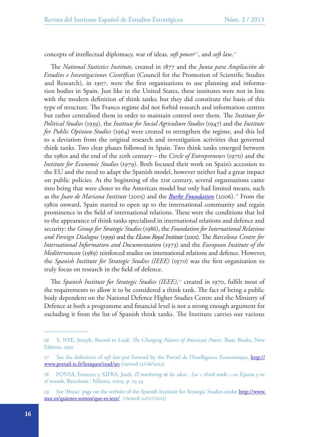concepts of intellectual diplomacy, war of ideas, *soft power<sup>26</sup>*, and *soft law*.<sup>27</sup>

The *National Statistics Institute,* created in 1877 and the *Junta para Ampliación de Estudios e Investigaciones Científicas* (Council for the Promotion of Scientific Studies and Research)*,* in 1907, were the first organisations to use planning and information bodies in Spain. Just like in the United States, these institutes were not in line with the modern definition of think tanks; but they did constitute the basis of this type of structure. The Franco regime did not forbid research and information centres but rather centralised them in order to maintain control over them. The *Institute for Political Studies* (1939), the *Institute for Social Agriculture Studies* (1947) and the *Institute for Public Opinion Studies* (1964) were created to strengthen the regime, and this led to a deviation from the original research and investigation activities that governed think tanks. Two clear phases followed in Spain. Two think tanks emerged between the 1980s and the end of the 20th century – the *Circle of Entrepreneurs* (1970) and the *Institute for Economic Studies* (1979). Both focused their work on Spain's accession to the EU and the need to adapt the Spanish model, however neither had a great impact on public policies. At the beginning of the 21st century, several organisations came into being that were closer to the American model but only had limited means, such as the *Juan de Mariana Institute* (2005) and the *[Burke](http://www.fundacionburke.org/) Foundation* (2006).28 From the 1980s onward, Spain started to open up to the international community and regain prominence in the field of international relations. These were the conditions that led to the appearance of think tanks specialised in international relations and defence and security: the *Group for Strategic Studies* (1986), the *Foundation for International Relations and Foreign Dialogue* (1999) and the *Elcano Royal Institute* (2001). The *Barcelona Centre for International Information and Documentation* (1973) and the *European Institute of the Mediterranean* (1989) reinforced studies on international relations and defence. However, the *Spanish Institute for Strategic Studies (IEEE)* (1970) was the first organisation to truly focus on research in the field of defence.

The *Spanish Institute for Strategic Studies (IEEE)*, 29 created in 1970, fulfils most of the requirements to allow it to be considered a think tank. The fact of being a public body dependent on the National Defence Higher Studies Centre and the Ministry of Defence at both a programme and financial level is not a strong enough argument for excluding it from the list of Spanish think tanks. The Institute carries out various

<sup>26</sup> S. NYE, Joseph, Bound to Lead: *The Changing Nature of American Power*, Basic Books, New Editons, 1991

<sup>27</sup> See the definition of *soft law* put forward by the Portail de l'Intelligence Economique, [http://](http://www.portail-ie.fr/lexiques/read/90) [www.portail-ie.fr/lexiques/read/90](http://www.portail-ie.fr/lexiques/read/90) (viewed 12/06/2013)

<sup>28</sup> PONSA, Francesc y XIFRA, Jordi, *El marketing de las ideas : Los « think tanks » en España y en el mundo*, Barcelona : Niberta, 2009, p. 25-34

<sup>29</sup> See 'About' page on the website of the Spanish Institute for Strategic Studies under [http://www.](http://www.ieee.es/quienes-somos/que-es-ieee/) [ieee.es/quienes-somos/que-es-ieee/](http://www.ieee.es/quienes-somos/que-es-ieee/) (viewed 10/07/2013)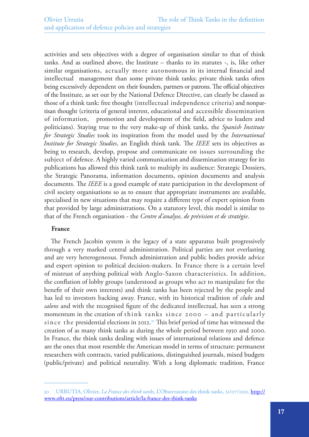activities and sets objectives with a degree of organisation similar to that of think tanks. And as outlined above, the Institute – thanks to its statutes -, is, like other similar organisations, actually more autonomous in its internal financial and intellectual management than some private think tanks; private think tanks often being excessively dependent on their founders, partners or patrons. The official objectives of the Institute, as set out by the National Defence Directive, can clearly be classed as those of a think tank: free thought (intellectual independence criteria) and nonpartisan thought (criteria of general interest, educational and accessible dissemination of information, promotion and development of the field, advice to leaders and politicians). Staying true to the very make-up of think tanks, the *Spanish Institute for Strategic Studies* took its inspiration from the model used by the *International Institute for Strategic Studies*, an English think tank. The *IEEE* sets its objectives as being to research, develop, propose and communicate on issues surrounding the subject of defence. A highly varied communication and dissemination strategy for its publications has allowed this think tank to multiply its audience: Strategic Dossiers, the Strategic Panorama, information documents, opinion documents and analysis documents. The *IEEE* is a good example of state participation in the development of civil society organisations so as to ensure that appropriate instruments are available, specialised in new situations that may require a different type of expert opinion from that provided by large administrations. On a statutory level, this model is similar to that of the French organisation - the *Centre d'analyse, de prévision et de stratégie*.

## **France**

The French Jacobin system is the legacy of a state apparatus built progressively through a very marked central administration. Political parties are not everlasting and are very heterogeneous. French administration and public bodies provide advice and expert opinion to political decision-makers. In France there is a certain level of mistrust of anything political with Anglo-Saxon characteristics. In addition, the conflation of lobby groups (understood as groups who act to manipulate for the benefit of their own interests) and think tanks has been rejected by the people and has led to investors backing away. France, with its historical tradition of *clubs* and *salons* and with the recognised figure of the dedicated intellectual, has seen a strong momentum in the creation of think tanks since 2000 – and particularly since the presidential elections in 2012.<sup>30</sup> This brief period of time has witnessed the creation of as many think tanks as during the whole period between 1950 and 2000. In France, the think tanks dealing with issues of international relations and defence are the ones that most resemble the American model in terms of structure: permanent researchers with contracts, varied publications, distinguished journals, mixed budgets (public/private) and political neutrality. With a long diplomatic tradition, France

<sup>30</sup> URRUTIA, Olivier, *La France des think tanks*, L'Observatoire des think tanks, 21/07/2011, [http://](http://www.oftt.eu/press/our-contributions/article/la-france-des-think-tanks) [www.oftt.eu/press/our-contributions/article/la-france-des-think-tanks](http://www.oftt.eu/press/our-contributions/article/la-france-des-think-tanks)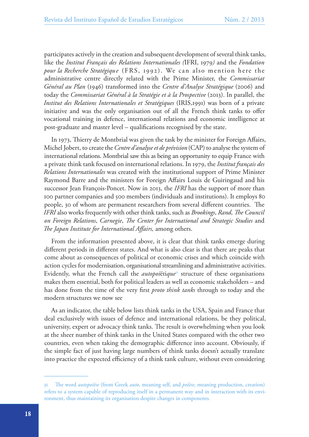participates actively in the creation and subsequent development of several think tanks, like the *Institut Français des Relations Internationales (*IFRI, 1979*)* and the *Fondation pour la Recherche Stratégique* (FRS, 1992). We can also mention here the administrative centre directly related with the Prime Minister, the *Commissariat Général au Plan* (1946) transformed into the *Centre d'Analyse Stratégique* (2006) and today the *Commissariat Général à la Stratégie et à la Prospective* (2013). In parallel, the *Institut des Relations Internationales et Stratégiques* (IRIS,1991) was born of a private initiative and was the only organisation out of all the French think tanks to offer vocational training in defence, international relations and economic intelligence at post-graduate and master level – qualifications recognised by the state.

In 1973, Thierry de Montbrial was given the task by the minister for Foreign Affairs, Michel Jobert, to create the *Centre d'analyse et de prévision* (CAP) to analyse the system of international relations. Montbrial saw this as being an opportunity to equip France with a private think tank focused on international relations. In 1979, the *Institut français des Relations Internationales* was created with the institutional support of Prime Minister Raymond Barre and the ministers for Foreign Affairs Louis de Guiringaud and his successor Jean François-Poncet. Now in 2013, the *IFRI* has the support of more than 100 partner companies and 500 members (individuals and institutions). It employs 80 people, 30 of whom are permanent researchers from several different countries. The *IFRI* also works frequently with other think tanks, such as *Brookings*, *Rand*, *The Council on Foreign Relations*, *Carnegie*, *The Center for International and Strategic Studies* and *The Japan Institute for International Affairs,* among others.

From the information presented above, it is clear that think tanks emerge during different periods in different states. And what is also clear is that there are peaks that come about as consequences of political or economic crises and which coincide with action cycles for modernisation, organisational streamlining and administrative activities. Evidently, what the French call the *autopoï*éti*que*31 structure of these organisations makes them essential, both for political leaders as well as economic stakeholders – and has done from the time of the very first *proto think tanks* through to today and the modern structures we now see

As an indicator, the table below lists think tanks in the USA, Spain and France that deal exclusively with issues of defence and international relations, be they political, university, expert or advocacy think tanks. The result is overwhelming when you look at the sheer number of think tanks in the United States compared with the other two countries, even when taking the demographic difference into account. Obviously, if the simple fact of just having large numbers of think tanks doesn't actually translate into practice the expected efficiency of a think tank culture, without even considering

<sup>31</sup> The word *autopoïèse* (from Greek *auto*, meaning self, and *poïèse*, meaning production, creation) refers to a system capable of reproducing itself in a permanent way and in interaction with its environment, thus maintaining its organisation despite changes in components.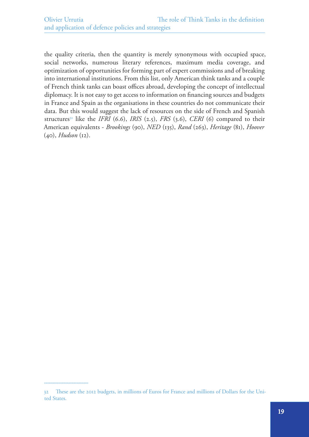the quality criteria, then the quantity is merely synonymous with occupied space, social networks, numerous literary references, maximum media coverage, and optimization of opportunities for forming part of expert commissions and of breaking into international institutions. From this list, only American think tanks and a couple of French think tanks can boast offices abroad, developing the concept of intellectual diplomacy. It is not easy to get access to information on financing sources and budgets in France and Spain as the organisations in these countries do not communicate their data. But this would suggest the lack of resources on the side of French and Spanish structures<sup>32</sup> like the *IFRI* (6.6), *IRIS* (2.5), *FRS* (3.6), *CERI* (6) compared to their American equivalents - *Brookings* (90), *NED* (135), *Rand* (263), *Heritage* (81), *Hoover*  (40), *Hudson* (12).

<sup>32</sup> These are the 2012 budgets, in millions of Euros for France and millions of Dollars for the United States.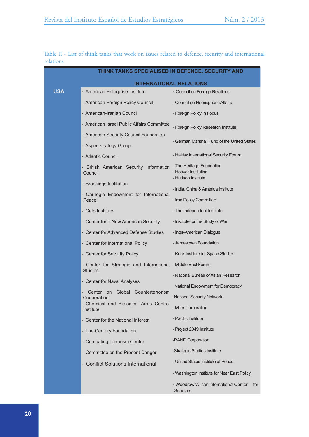|           |  |  |  |  |  | Table II - List of think tanks that work on issues related to defence, security and international |  |  |
|-----------|--|--|--|--|--|---------------------------------------------------------------------------------------------------|--|--|
| relations |  |  |  |  |  |                                                                                                   |  |  |

|            | THINK TANKS SPECIALISED IN DEFENCE, SECURITY AND                               |                                                                 |  |  |  |  |  |  |
|------------|--------------------------------------------------------------------------------|-----------------------------------------------------------------|--|--|--|--|--|--|
|            | <b>INTERNATIONAL RELATIONS</b>                                                 |                                                                 |  |  |  |  |  |  |
| <b>USA</b> | - American Enterprise Institute                                                | - Council on Foreign Relations                                  |  |  |  |  |  |  |
|            | - American Foreign Policy Council                                              | - Council on Hemispheric Affairs                                |  |  |  |  |  |  |
|            | - American-Iranian Council                                                     | - Foreign Policy in Focus                                       |  |  |  |  |  |  |
|            | - American Israel Public Affairs Committee                                     | - Foreign Policy Research Institute                             |  |  |  |  |  |  |
|            | - American Security Council Foundation                                         | - German Marshall Fund of the United States                     |  |  |  |  |  |  |
|            | - Aspen strategy Group                                                         |                                                                 |  |  |  |  |  |  |
|            | - Atlantic Council                                                             | - Halifax International Security Forum                          |  |  |  |  |  |  |
|            | - British American Security Information - The Heritage Foundation<br>Council   | - Hoover Institution<br>- Hudson Institute                      |  |  |  |  |  |  |
|            | - Brookings Institution                                                        | - India, China & America Institute                              |  |  |  |  |  |  |
|            | - Carnegie Endowment for International                                         | - Iran Policy Committee                                         |  |  |  |  |  |  |
| Peace      |                                                                                | - The Independent Institute                                     |  |  |  |  |  |  |
|            | - Cato Institute                                                               |                                                                 |  |  |  |  |  |  |
|            | - Center for a New American Security                                           | - Institute for the Study of War<br>- Inter-American Dialogue   |  |  |  |  |  |  |
|            | - Center for Advanced Defense Studies                                          | - Jamestown Foundation                                          |  |  |  |  |  |  |
|            | - Center for International Policy                                              |                                                                 |  |  |  |  |  |  |
|            | - Center for Security Policy                                                   | - Keck Institute for Space Studies                              |  |  |  |  |  |  |
|            | - Center for Strategic and International - Middle East Forum<br><b>Studies</b> |                                                                 |  |  |  |  |  |  |
|            | - Center for Naval Analyses                                                    | - National Bureau of Asian Research                             |  |  |  |  |  |  |
|            | Global Counterterrorism<br>Center<br>on                                        | National Endowment for Democracy                                |  |  |  |  |  |  |
|            | Cooperation<br>Chemical and Biological Arms Control                            | -National Security Network                                      |  |  |  |  |  |  |
|            | Institute                                                                      | - Miter Corporation                                             |  |  |  |  |  |  |
|            | Center for the National Interest                                               | - Pacific Institute                                             |  |  |  |  |  |  |
|            | - The Century Foundation                                                       | - Project 2049 Institute                                        |  |  |  |  |  |  |
|            | - Combating Terrorism Center                                                   | -RAND Corporation                                               |  |  |  |  |  |  |
|            | - Committee on the Present Danger                                              | -Strategic Studies Institute                                    |  |  |  |  |  |  |
|            | <b>Conflict Solutions International</b>                                        | - United States Institute of Peace                              |  |  |  |  |  |  |
|            |                                                                                | - Washington Institute for Near East Policy                     |  |  |  |  |  |  |
|            |                                                                                | - Woodrow Wilson International Center<br>for<br><b>Scholars</b> |  |  |  |  |  |  |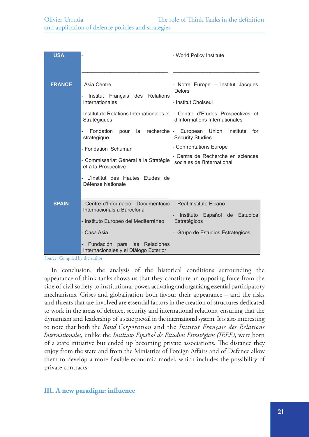| <b>USA</b>    |                                                                                                                                                                                                                                | - World Policy Institute                                                                                                                                                    |
|---------------|--------------------------------------------------------------------------------------------------------------------------------------------------------------------------------------------------------------------------------|-----------------------------------------------------------------------------------------------------------------------------------------------------------------------------|
|               |                                                                                                                                                                                                                                |                                                                                                                                                                             |
| <b>FRANCE</b> | Asia Centre<br>Institut Français des Relations<br>Internationales<br>-Institut de Relations Internationales et - Centre d'Etudes Prospectives et<br>Stratégiques                                                               | - Notre Europe - Institut Jacques<br><b>Delors</b><br>- Institut Choiseul<br>d'Informations Internationales                                                                 |
|               | Fondation<br>pour<br>stratégique<br>- Fondation Schuman<br>- Commissariat Général à la Stratégie<br>et à la Prospective<br>L'Institut des Hautes Etudes de<br>Défense Nationale                                                | la recherche - European Union<br>Institute<br>for<br><b>Security Studies</b><br>- Confrontations Europe<br>- Centre de Recherche en sciences<br>sociales de l'international |
| <b>SPAIN</b>  | - Centre d'Informació i Documentació - Real Instituto Elcano<br>Internacionals a Barcelona<br>- Instituto Europeo del Mediterráneo<br>- Casa Asia<br>Fundación para<br>las Relaciones<br>Internacionales y el Diálogo Exterior | de Estudios<br>Instituto<br>Español<br>$\sim$<br>Estratégicos<br>- Grupo de Estudios Estratégicos                                                                           |

Source: Compiled by the author

In conclusion, the analysis of the historical conditions surrounding the appearance of think tanks shows us that they constitute an opposing force from the side of civil society to institutional power, activating and organising essential participatory mechanisms. Crises and globalisation both favour their appearance – and the risks and threats that are involved are essential factors in the creation of structures dedicated to work in the areas of defence, security and international relations, ensuring that the dynamism and leadership of a state prevail in the international system. It is also interesting to note that both the *Rand Corporation* and the *Institut Français des Relations Internationales*, unlike the *Instituto Espa*ñ*ol de Estudios Estratégicos (IEEE)*, were born of a state initiative but ended up becoming private associations. The distance they enjoy from the state and from the Ministries of Foreign Affairs and of Defence allow them to develop a more flexible economic model, which includes the possibility of private contracts.

# **III. A new paradigm: influence**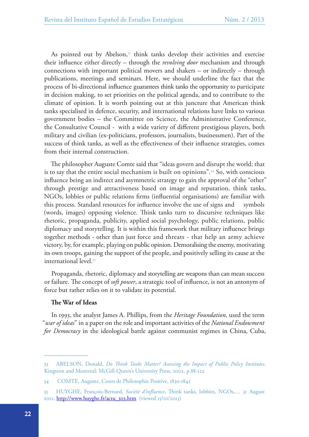As pointed out by Abelson,<sup>33</sup> think tanks develop their activities and exercise their influence either directly – through the *revolving door* mechanism and through connections with important political movers and shakers – or indirectly – through publications, meetings and seminars. Here, we should underline the fact that the process of bi-directional influence guarantees think tanks the opportunity to participate in decision making, to set priorities on the political agenda, and to contribute to the climate of opinion. It is worth pointing out at this juncture that American think tanks specialised in defence, security, and international relations have links to various government bodies – the Committee on Science, the Administrative Conference, the Consultative Council - with a wide variety of different prestigious players, both military and civilian (ex-politicians, professors, journalists, businessmen). Part of the success of think tanks, as well as the effectiveness of their influence strategies, comes from their internal construction.

The philosopher Auguste Comte said that "ideas govern and disrupt the world; that is to say that the entire social mechanism is built on opinions".<sup>34</sup> So, with conscious influence being an indirect and asymmetric strategy to gain the approval of the "other" through prestige and attractiveness based on image and reputation, think tanks, NGOs, lobbies or public relations firms (influential organisations) are familiar with this process. Standard resources for influence involve the use of signs and symbols (words, images) opposing violence. Think tanks turn to discursive techniques like rhetoric, propaganda, publicity, applied social psychology, public relations, public diplomacy and storytelling. It is within this framework that military influence brings together methods - other than just force and threats - that help an army achieve victory, by, for example, playing on public opinion. Demoralising the enemy, motivating its own troops, gaining the support of the people, and positively selling its cause at the international level.35

Propaganda, rhetoric, diplomacy and storytelling are weapons than can mean success or failure. The concept of *soft power*, a strategic tool of influence, is not an antonym of force but rather relies on it to validate its potential.

#### **The War of Ideas**

In 1993, the analyst James A. Phillips, from the *Heritage Foundation,* used the term "*war of ideas*" in a paper on the role and important activities of the *National Endowment for Democracy* in the ideological battle against communist regimes in China, Cuba,

<sup>33</sup> ABELSON, Donald, *Do Think Tanks Matter? Assessing the Impact of Public Policy Institutes*. Kingston and Montreal: McGill-Queen's University Press, 2002, p.88-122

<sup>34</sup> COMTE, Auguste, Cours de Philosophie Positive, 1830-1842

<sup>35</sup> HUYGHE, François-Bernard, *Société d'influence*, Think tanks, lobbies, NGOs,… 31 August 2012, [http://www.huyghe.fr/actu\\_303.htm](http://www.huyghe.fr/actu_303.htm) (viewed 15/01/2013)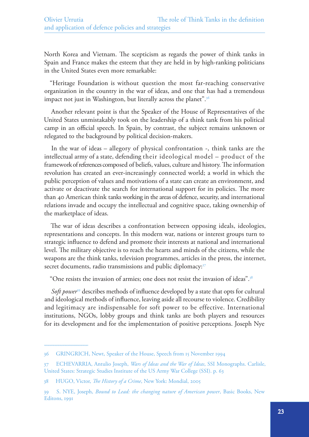North Korea and Vietnam. The scepticism as regards the power of think tanks in Spain and France makes the esteem that they are held in by high-ranking politicians in the United States even more remarkable:

"Heritage Foundation is without question the most far-reaching conservative organization in the country in the war of ideas, and one that has had a tremendous impact not just in Washington, but literally across the planet".<sup>36</sup>

Another relevant point is that the Speaker of the House of Representatives of the United States unmistakably took on the leadership of a think tank from his political camp in an official speech. In Spain, by contrast, the subject remains unknown or relegated to the background by political decision-makers.

In the war of ideas – allegory of physical confrontation -, think tanks are the intellectual army of a state, defending their ideological model – product of the framework of references composed of beliefs, values, culture and history. The information revolution has created an ever-increasingly connected world; a world in which the public perception of values and motivations of a state can create an environment, and activate or deactivate the search for international support for its policies. The more than 40 American think tanks working in the areas of defence, security, and international relations invade and occupy the intellectual and cognitive space, taking ownership of the marketplace of ideas.

The war of ideas describes a confrontation between opposing ideals, ideologies, representations and concepts. In this modern war, nations or interest groups turn to strategic influence to defend and promote their interests at national and international level. The military objective is to reach the hearts and minds of the citizens, while the weapons are the think tanks, television programmes, articles in the press, the internet, secret documents, radio transmissions and public diplomacy:<sup>37</sup>

"One resists the invasion of armies; one does not resist the invasion of ideas".<sup>38</sup>

*Soft power*<sup>39</sup> describes methods of influence developed by a state that opts for cultural and ideological methods of influence, leaving aside all recourse to violence. Credibility and legitimacy are indispensable for soft power to be effective. International institutions, NGOs, lobby groups and think tanks are both players and resources for its development and for the implementation of positive perceptions. Joseph Nye

<sup>36</sup> GRINGRICH, Newt, Speaker of the House, Speech from 15 November 1994

<sup>37</sup> ECHEVARRIA, Antulio Joseph, *Wars of Ideas and the War of Ideas*, SSI Monographs. Carlisle, United States: Strategic Studies Institute of the US Army War College (SSI). p. 63

<sup>38</sup> HUGO, Victor, *The History of a Crime*, New York: Mondial, 2005

<sup>39</sup> S. NYE, Joseph, *Bound to Lead: the changing nature of American power*, Basic Books, New Editons, 1991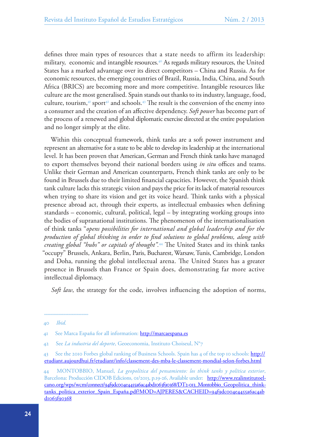defines three main types of resources that a state needs to affirm its leadership: military, economic and intangible resources.<sup>40</sup> As regards military resources, the United States has a marked advantage over its direct competitors – China and Russia. As for economic resources, the emerging countries of Brazil, Russia, India, China, and South Africa (BRICS) are becoming more and more competitive. Intangible resources like culture are the most generalised. Spain stands out thanks to its industry, language, food, culture, tourism, $41$  sport $42$  and schools. $43$  The result is the conversion of the enemy into a consumer and the creation of an affective dependency. *Soft power* has become part of the process of a renewed and global diplomatic exercise directed at the entire population and no longer simply at the elite.

Within this conceptual framework, think tanks are a soft power instrument and represent an alternative for a state to be able to develop its leadership at the international level. It has been proven that American, German and French think tanks have managed to export themselves beyond their national borders using *in situ* offices and teams. Unlike their German and American counterparts, French think tanks are only to be found in Brussels due to their limited financial capacities. However, the Spanish think tank culture lacks this strategic vision and pays the price for its lack of material resources when trying to share its vision and get its voice heard. Think tanks with a physical presence abroad act, through their experts, as intellectual embassies when defining standards – economic, cultural, political, legal – by integrating working groups into the bodies of supranational institutions. The phenomenon of the internationalisation of think tanks "*opens possibilities for international and global leadership and for the production of global thinking in order to find solutions to global problems, along with creating global "hubs" or capitals of thought".*44 The United States and its think tanks "occupy" Brussels, Ankara, Berlin, Paris, Bucharest, Warsaw, Tunis, Cambridge, London and Doha, running the global intellectual arena. The United States has a greater presence in Brussels than France or Spain does, demonstrating far more active intellectual diplomacy.

*Soft law*, the strategy for the code, involves influencing the adoption of norms,

<sup>40</sup> *Ibid.*

<sup>41</sup> See Marca España for all information: <http://marcaespana.es>

<sup>42</sup> See *La industria del deporte*, Geoeconomia, Instituto Choiseul, N°7

<sup>43</sup> See the 2010 Forbes global ranking of Business Schools. Spain has 4 of the top 10 schools: [http://](http://etudiant.aujourdhui.fr/etudiant/info/classement-des-mba-le-classement-mondial-selon-forbes.html) [etudiant.aujourdhui.fr/etudiant/info/classement-des-mba-le-classement-mondial-selon-forbes.html](http://etudiant.aujourdhui.fr/etudiant/info/classement-des-mba-le-classement-mondial-selon-forbes.html)

<sup>44</sup> MONTOBBIO, Manuel, *La geopolítica del pensamiento: los think tanks y política exterior*, Barcelona: Producción CIDOB Edicions, 01/2013, p.19-26, Available under: [http://www.realinstitutoel](http://www.realinstitutoelcano.org/wps/wcm/connect/94f9dc004e4455a6ac4abd1063f90368/DT2-013_Montobbio_Geopolitica_think-tanks_politica_exterior_Spain_Espa�a.pdf?MOD=AJPERES&CACHEID=94f9dc004e4455a6ac4abd1063f90368)[cano.org/wps/wcm/connect/94f9dc004e4455a6ac4abd1063f90368/DT2-013\\_Montobbio\\_Geopolitica\\_think](http://www.realinstitutoelcano.org/wps/wcm/connect/94f9dc004e4455a6ac4abd1063f90368/DT2-013_Montobbio_Geopolitica_think-tanks_politica_exterior_Spain_Espa�a.pdf?MOD=AJPERES&CACHEID=94f9dc004e4455a6ac4abd1063f90368)[tanks\\_politica\\_exterior\\_Spain\\_España.pdf?MOD=AJPERES&CACHEID=94f9dc004e4455a6ac4ab](http://www.realinstitutoelcano.org/wps/wcm/connect/94f9dc004e4455a6ac4abd1063f90368/DT2-013_Montobbio_Geopolitica_think-tanks_politica_exterior_Spain_Espa�a.pdf?MOD=AJPERES&CACHEID=94f9dc004e4455a6ac4abd1063f90368) [d1063f90368](http://www.realinstitutoelcano.org/wps/wcm/connect/94f9dc004e4455a6ac4abd1063f90368/DT2-013_Montobbio_Geopolitica_think-tanks_politica_exterior_Spain_Espa�a.pdf?MOD=AJPERES&CACHEID=94f9dc004e4455a6ac4abd1063f90368)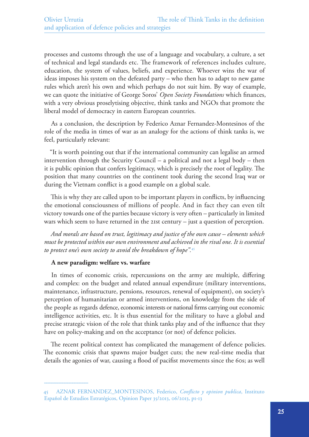processes and customs through the use of a language and vocabulary, a culture, a set of technical and legal standards etc. The framework of references includes culture, education, the system of values, beliefs, and experience. Whoever wins the war of ideas imposes his system on the defeated party – who then has to adapt to new game rules which aren't his own and which perhaps do not suit him. By way of example, we can quote the initiative of George Soros' *Open Society Foundations* which finances, with a very obvious proselytising objective, think tanks and NGOs that promote the liberal model of democracy in eastern European countries.

As a conclusion, the description by Federico Aznar Fernandez-Montesinos of the role of the media in times of war as an analogy for the actions of think tanks is, we feel, particularly relevant:

"It is worth pointing out that if the international community can legalise an armed intervention through the Security Council – a political and not a legal body – then it is public opinion that confers legitimacy, which is precisely the root of legality. The position that many countries on the continent took during the second Iraq war or during the Vietnam conflict is a good example on a global scale.

This is why they are called upon to be important players in conflicts, by influencing the emotional consciousness of millions of people. And in fact they can even tilt victory towards one of the parties because victory is very often – particularly in limited wars which seem to have returned in the 21st century – just a question of perception.

*And morals are based on trust, legitimacy and justice of the own cause – elements which must be protected within our own environment and achieved in the rival one. It is essential to protect one's own society to avoid the breakdown of hope".*<sup>45</sup>

## **A new paradigm: welfare vs. warfare**

In times of economic crisis, repercussions on the army are multiple, differing and complex: on the budget and related annual expenditure (military interventions, maintenance, infrastructure, pensions, resources, renewal of equipment), on society's perception of humanitarian or armed interventions, on knowledge from the side of the people as regards defence, economic interests or national firms carrying out economic intelligence activities, etc. It is thus essential for the military to have a global and precise strategic vision of the role that think tanks play and of the influence that they have on policy-making and on the acceptance (or not) of defence policies.

The recent political context has complicated the management of defence policies. The economic crisis that spawns major budget cuts; the new real-time media that details the agonies of war, causing a flood of pacifist movements since the 60s; as well

<sup>45</sup> AZNAR FERNANDEZ\_MONTESINOS, Federico, *Conflicto y opinion publica*, Instituto Español de Estudios Estratégicos, Opinion Paper 35/2013, 06/2013, p1-13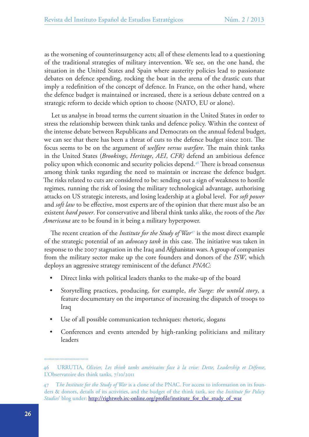as the worsening of counterinsurgency acts; all of these elements lead to a questioning of the traditional strategies of military intervention. We see, on the one hand, the situation in the United States and Spain where austerity policies lead to passionate debates on defence spending, rocking the boat in the arena of the drastic cuts that imply a redefinition of the concept of defence. In France, on the other hand, where the defence budget is maintained or increased, there is a serious debate centred on a strategic reform to decide which option to choose (NATO, EU or alone).

Let us analyse in broad terms the current situation in the United States in order to stress the relationship between think tanks and defence policy. Within the context of the intense debate between Republicans and Democrats on the annual federal budget, we can see that there has been a threat of cuts to the defence budget since 2011. The focus seems to be on the argument of *welfare versus warfare*. The main think tanks in the United States (*Brookings*, *Heritage*, *AEI*, *CFR)* defend an ambitious defence policy upon which economic and security policies depend.46 There is broad consensus among think tanks regarding the need to maintain or increase the defence budget. The risks related to cuts are considered to be: sending out a sign of weakness to hostile regimes, running the risk of losing the military technological advantage, authorising attacks on US strategic interests, and losing leadership at a global level. For *soft power*  and *soft law* to be effective, most experts are of the opinion that there must also be an existent *hard power*. For conservative and liberal think tanks alike, the roots of the *Pax Americana* are to be found in it being a military hyperpower.

The recent creation of the *Institute for the Study of War<sup>47</sup>* is the most direct example of the strategic potential of an *advocacy tank* in this case. The initiative was taken in response to the 2007 stagnation in the Iraq and Afghanistan wars. A group of companies from the military sector make up the core founders and donors of the *ISW*, which deploys an aggressive strategy reminiscent of the defunct *PNAC*:

- Direct links with political leaders thanks to the make-up of the board
- Storytelling practices, producing, for example, *the Surge: the untold story*, a feature documentary on the importance of increasing the dispatch of troops to Iraq
- Use of all possible communication techniques: rhetoric, slogans
- Conferences and events attended by high-ranking politicians and military leaders

<sup>46</sup> URRUTIA, *Olivier, Les think tanks américains face à la crise: Dette, Leadership et Défense*, L'Observatoire des think tanks, 7/10/2011

<sup>47</sup> T*he Institute for the Study of War* is a clone of the PNAC. For access to information on its founders & donors, details of its activities, and the budget of the think tank, see the *Institute for Policy Studies*' blog under: [http://rightweb.irc-online.org/profile/institute\\_for\\_the\\_study\\_of\\_war](http://rightweb.irc-online.org/profile/institute_for_the_study_of_war)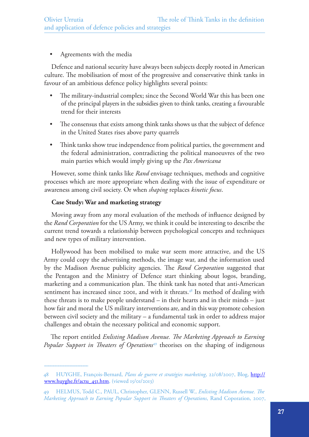## Agreements with the media

Defence and national security have always been subjects deeply rooted in American culture. The mobilisation of most of the progressive and conservative think tanks in favour of an ambitious defence policy highlights several points:

- The military-industrial complex; since the Second World War this has been one of the principal players in the subsidies given to think tanks, creating a favourable trend for their interests
- The consensus that exists among think tanks shows us that the subject of defence in the United States rises above party quarrels
- Think tanks show true independence from political parties, the government and the federal administration, contradicting the political manoeuvres of the two main parties which would imply giving up the *Pax Americana*

However, some think tanks like *Rand* envisage techniques, methods and cognitive processes which are more appropriate when dealing with the issue of expenditure or awareness among civil society. Or when *shaping* replaces *kinetic focus*.

## **Case Study: War and marketing strategy**

Moving away from any moral evaluation of the methods of influence designed by the *Rand Corporation* for the US Army, we think it could be interesting to describe the current trend towards a relationship between psychological concepts and techniques and new types of military intervention.

Hollywood has been mobilised to make war seem more attractive, and the US Army could copy the advertising methods, the image war, and the information used by the Madison Avenue publicity agencies. The *Rand Corporation* suggested that the Pentagon and the Ministry of Defence start thinking about logos, branding, marketing and a communication plan. The think tank has noted that anti-American sentiment has increased since 2001, and with it threats.<sup>48</sup> Its method of dealing with these threats is to make people understand – in their hearts and in their minds – just how fair and moral the US military interventions are, and in this way promote cohesion between civil society and the military – a fundamental task in order to address major challenges and obtain the necessary political and economic support.

The report entitled *Enlisting Madison Avenue. The Marketing Approach to Earning Popular Support in Theaters of Operations*49 theorises on the shaping of indigenous

<sup>48</sup> HUYGHE, François-Bernard, *Plans de guerre et stratégies marketing*, 22/08/2007, Blog, [http://](http://www.huyghe.fr/actu_451.htm) [www.huyghe.fr/actu\\_451.htm,](http://www.huyghe.fr/actu_451.htm) (viewed 15/01/2013)

<sup>49</sup> HELMUS, Todd C., PAUL, Christopher, GLENN, Russell W., *Enlisting Madison Avenue. The Marketing Approach to Earning Popular Support in Theaters of Operations*, Rand Coporation, 2007,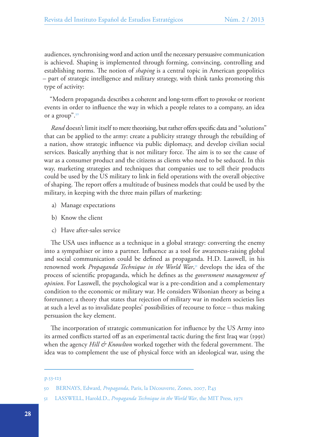audiences, synchronising word and action until the necessary persuasive communication is achieved. Shaping is implemented through forming, convincing, controlling and establishing norms. The notion of *shaping* is a central topic in American geopolitics – part of strategic intelligence and military strategy, with think tanks promoting this type of activity:

"Modern propaganda describes a coherent and long-term effort to provoke or reorient events in order to influence the way in which a people relates to a company, an idea or a group".<sup>50</sup>

*Rand* doesn't limit itself to mere theorising, but rather offers specific data and "solutions" that can be applied to the army: create a publicity strategy through the rebuilding of a nation, show strategic influence via public diplomacy, and develop civilian social services. Basically anything that is not military force. The aim is to see the cause of war as a consumer product and the citizens as clients who need to be seduced. In this way, marketing strategies and techniques that companies use to sell their products could be used by the US military to link in field operations with the overall objective of shaping. The report offers a multitude of business models that could be used by the military, in keeping with the three main pillars of marketing:

- a) Manage expectations
- b) Know the client
- c) Have after-sales service

The USA uses influence as a technique in a global strategy: converting the enemy into a sympathiser or into a partner. Influence as a tool for awareness-raising global and social communication could be defined as propaganda. H.D. Lasswell, in his renowned work *Propaganda Technique in the World War*, 51 develops the idea of the process of scientific propaganda, which he defines as the *government management of opinion*. For Lasswell, the psychological war is a pre-condition and a complementary condition to the economic or military war. He considers Wilsonian theory as being a forerunner; a theory that states that rejection of military war in modern societies lies at such a level as to invalidate peoples' possibilities of recourse to force – thus making persuasion the key element.

The incorporation of strategic communication for influence by the US Army into its armed conflicts started off as an experimental tactic during the first Iraq war (1991) when the agency *Hill & Knowlton* worked together with the federal government. The idea was to complement the use of physical force with an ideological war, using the

p.53-123

<sup>50</sup> BERNAYS, Edward, *Propaganda*, Paris, la Découverte, Zones, 2007, P.43

<sup>51</sup> LASSWELL, Harold.D., *Propaganda Technique in the World War*, the MIT Press, 1971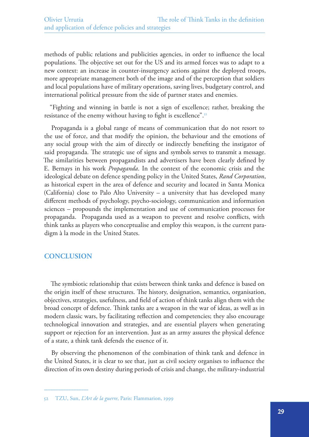methods of public relations and publicities agencies, in order to influence the local populations. The objective set out for the US and its armed forces was to adapt to a new context: an increase in counter-insurgency actions against the deployed troops, more appropriate management both of the image and of the perception that soldiers and local populations have of military operations, saving lives, budgetary control, and international political pressure from the side of partner states and enemies.

"Fighting and winning in battle is not a sign of excellence; rather, breaking the resistance of the enemy without having to fight is excellence".<sup>52</sup>

Propaganda is a global range of means of communication that do not resort to the use of force, and that modify the opinion, the behaviour and the emotions of any social group with the aim of directly or indirectly benefiting the instigator of said propaganda. The strategic use of signs and symbols serves to transmit a message. The similarities between propagandists and advertisers have been clearly defined by E. Bernays in his work *Propaganda*. In the context of the economic crisis and the ideological debate on defence spending policy in the United States, *Rand Corporation*, as historical expert in the area of defence and security and located in Santa Monica (California) close to Palo Alto University – a university that has developed many different methods of psychology, psycho-sociology, communication and information sciences – propounds the implementation and use of communication processes for propaganda. Propaganda used as a weapon to prevent and resolve conflicts, with think tanks as players who conceptualise and employ this weapon, is the current paradigm à la mode in the United States.

# **CONCLUSION**

The symbiotic relationship that exists between think tanks and defence is based on the origin itself of these structures. The history, designation, semantics, organisation, objectives, strategies, usefulness, and field of action of think tanks align them with the broad concept of defence. Think tanks are a weapon in the war of ideas, as well as in modern classic wars, by facilitating reflection and competencies; they also encourage technological innovation and strategies, and are essential players when generating support or rejection for an intervention. Just as an army assures the physical defence of a state, a think tank defends the essence of it.

By observing the phenomenon of the combination of think tank and defence in the United States, it is clear to see that, just as civil society organises to influence the direction of its own destiny during periods of crisis and change, the military-industrial

<sup>52</sup> TZU, Sun, *L'Art de la guerre*, Paris: Flammarion, 1999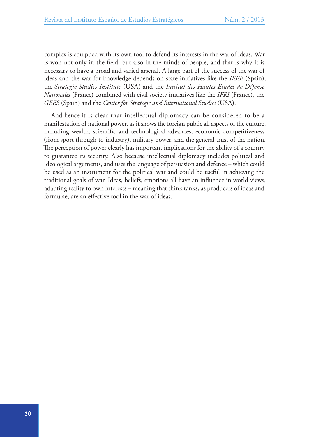complex is equipped with its own tool to defend its interests in the war of ideas. War is won not only in the field, but also in the minds of people, and that is why it is necessary to have a broad and varied arsenal. A large part of the success of the war of ideas and the war for knowledge depends on state initiatives like the *IEEE* (Spain), the *Strategic Studies Institute* (USA) and the *Institut des Hautes Etudes de Défense Nationales* (France) combined with civil society initiatives like the *IFRI* (France), the *GEES* (Spain) and the *Center for Strategic and International Studies* (USA).

And hence it is clear that intellectual diplomacy can be considered to be a manifestation of national power, as it shows the foreign public all aspects of the culture, including wealth, scientific and technological advances, economic competitiveness (from sport through to industry), military power, and the general trust of the nation. The perception of power clearly has important implications for the ability of a country to guarantee its security. Also because intellectual diplomacy includes political and ideological arguments, and uses the language of persuasion and defence – which could be used as an instrument for the political war and could be useful in achieving the traditional goals of war. Ideas, beliefs, emotions all have an influence in world views, adapting reality to own interests – meaning that think tanks, as producers of ideas and formulae, are an effective tool in the war of ideas.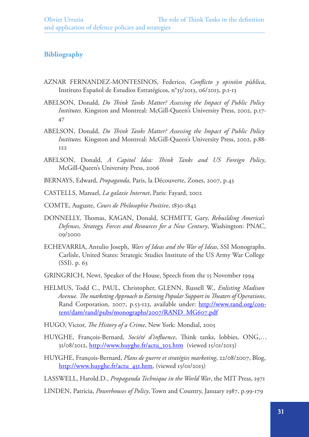# **Bibliography**

- AZNAR FERNANDEZ-MONTESINOS, Federico, *Conflicto y opini*ó*n p*ú*blica*, Instituto Español de Estudios Estratégicos, n°35/2013, 06/2013, p.1-13
- ABELSON, Donald, *Do Think Tanks Matter? Assessing the Impact of Public Policy Institutes.* Kingston and Montreal: McGill-Queen's University Press, 2002, p.17-47
- ABELSON, Donald, *Do Think Tanks Matter? Assessing the Impact of Public Policy Institutes.* Kingston and Montreal: McGill-Queen's University Press, 2002, p.88- 122
- ABELSON, Donald, *A Capitol Idea: Think Tanks and US Foreign Policy*, McGill-Queen's University Press, 2006
- BERNAYS, Edward, *Propaganda*, Paris, la Découverte, Zones, 2007, p.43
- CASTELLS, Manuel, *La galaxie Internet*, Paris: Fayard, 2002
- COMTE, Auguste, *Cours de Philosophie Positive*, 1830-1842
- DONNELLY, Thomas, KAGAN, Donald, SCHMITT, Gary, *Rebuilding America's Defenses, Strategy, Forces and Resources for a New Century*, Washington: PNAC, 09/2000
- ECHEVARRIA, Antulio Joseph, *Wars of Ideas and the War of Ideas*, SSI Monographs. Carlisle, United States: Strategic Studies Institute of the US Army War College (SSI). p. 63
- GRINGRICH, Newt, Speaker of the House, Speech from the 15 November 1994
- HELMUS, Todd C., PAUL, Christopher, GLENN, Russell W., *Enlisting Madison Avenue. The marketing Approach to Earning Popular Support in Theaters of Operations*, Rand Corporation, 2007, p.53-123, available under: [http://www.rand.org/con](http://www.rand.org/content/dam/rand/pubs/monographs/2007/RAND_MG607.pdf)[tent/dam/rand/pubs/monographs/2007/RAND\\_MG607.pdf](http://www.rand.org/content/dam/rand/pubs/monographs/2007/RAND_MG607.pdf)
- HUGO, Victor, *The History of a Crime*, New York: Mondial, 2005
- HUYGHE, François-Bernard, *Société d'influence*, Think tanks, lobbies, ONG,… 31/08/2012, [http://www.huyghe.fr/actu\\_303.htm](http://www.huyghe.fr/actu_303.htm) (viewed 15/01/2013)
- HUYGHE, François-Bernard, *Plans de guerre et stratégies marketing*, 22/08/2007, Blog, [http://www.huyghe.fr/actu\\_451.htm,](http://www.huyghe.fr/actu_451.htm) (viewed 15/01/2013)

LASSWELL, Harold.D., *Propaganda Technique in the World War*, the MIT Press, 1971

LINDEN, Patricia, *Powerhouses of Policy*, Town and Country, January 1987, p.99-179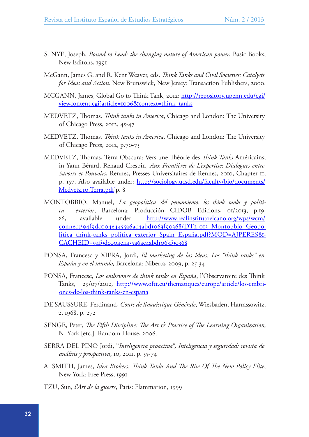- S. NYE, Joseph, *Bound to Lead: the changing nature of American power*, Basic Books, New Editons, 1991
- McGann, James G. and R. Kent Weaver, eds. *Think Tanks and Civil Societies: Catalysts for Ideas and Action.* New Brunswick, New Jersey: Transaction Publishers, 2000.
- MCGANN, James, Global Go to Think Tank, 2012: [http://repository.upenn.edu/cgi/](http://repository.upenn.edu/cgi/viewcontent.cgi?article=1006&context=think_tanks) [viewcontent.cgi?article=1006&context=think\\_tanks](http://repository.upenn.edu/cgi/viewcontent.cgi?article=1006&context=think_tanks)
- MEDVETZ, Thomas. *Think tanks in America*, Chicago and London: The University of Chicago Press, 2012, 45-47
- MEDVETZ, Thomas, *Think tanks in America*, Chicago and London: The University of Chicago Press, 2012, p.70-75
- MEDVETZ, Thomas, Terra Obscura: Vers une Théorie des *Think Tanks* Américains, in Yann Bérard, Renaud Crespin, *Aux Frontières de L'expertise*: *Dialogues entre Savoirs et Pouvoirs*, Rennes, Presses Universitaires de Rennes, 2010, Chapter 11, p. 157. Also available under: [http://sociology.ucsd.edu/faculty/bio/documents/](http://sociology.ucsd.edu/faculty/bio/documents/Medvetz.10.Terra.pdf) [Medvetz.10.Terra.pdf](http://sociology.ucsd.edu/faculty/bio/documents/Medvetz.10.Terra.pdf) p. 8
- MONTOBBIO, Manuel, *La geopolítica del pensamiento: los think tanks y política exterior*, Barcelona: Producción CIDOB Edicions, 01/2013, p.19 26, available under: [http://www.realinstitutoelcano.org/wps/wcm/](http://www.realinstitutoelcano.org/wps/wcm/connect/94f9dc004e4455a6ac4abd1063f90368/DT2-013_Montobbio_Geopolitica_think-tanks_politica_exterior_Spain_Espa�a.pdf?MOD=AJPERES&CACHEID=94f9dc004e4455a6ac4abd1063f90368) [connect/94f9dc004e4455a6ac4abd1063f90368/DT2-013\\_Montobbio\\_Geopo](http://www.realinstitutoelcano.org/wps/wcm/connect/94f9dc004e4455a6ac4abd1063f90368/DT2-013_Montobbio_Geopolitica_think-tanks_politica_exterior_Spain_Espa�a.pdf?MOD=AJPERES&CACHEID=94f9dc004e4455a6ac4abd1063f90368)[litica\\_think-tanks\\_politica\\_exterior\\_Spain\\_España.pdf?MOD=AJPERES&-](http://www.realinstitutoelcano.org/wps/wcm/connect/94f9dc004e4455a6ac4abd1063f90368/DT2-013_Montobbio_Geopolitica_think-tanks_politica_exterior_Spain_Espa�a.pdf?MOD=AJPERES&CACHEID=94f9dc004e4455a6ac4abd1063f90368) [CACHEID=94f9dc004e4455a6ac4abd1063f90368](http://www.realinstitutoelcano.org/wps/wcm/connect/94f9dc004e4455a6ac4abd1063f90368/DT2-013_Montobbio_Geopolitica_think-tanks_politica_exterior_Spain_Espa�a.pdf?MOD=AJPERES&CACHEID=94f9dc004e4455a6ac4abd1063f90368)
- PONSA, Francesc y XIFRA, Jordi, *El marketing de las ideas: Los "think tanks" en España y en el mundo,* Barcelona: Niberta, 2009, p. 25-34
- PONSA, Francesc, *Los embriones de think tanks en España*, l'Observatoire des Think Tanks, 29/07/2012, <u>http://www.oftt.eu/thematiques/europe/article/los-embri-</u> [ones-de-los-think-tanks-en-espana](http://www.oftt.eu/thematiques/europe/article/los-embriones-de-los-think-tanks-en-espana)
- DE SAUSSURE, Ferdinand, *Cours de linguistique Générale*, Wiesbaden, Harrassowitz, 2, 1968, p. 272
- SENGE, Peter, *The Fifth Discipline: The Art & Practice of The Learning Organization,*  N. York [etc.]. Random House, 2006.
- SERRA DEL PINO Jordi, "*Inteligencia proactiva", Inteligencia y seguridad: revista de análisis y prospectiva*, 10, 2011, p. 55-74
- A. SMITH, James, *Idea Brokers: Think Tanks And The Rise Of The New Policy Elite*, New York: Free Press, 1991
- TZU, Sun, *l'Art de la guerre*, Paris: Flammarion, 1999